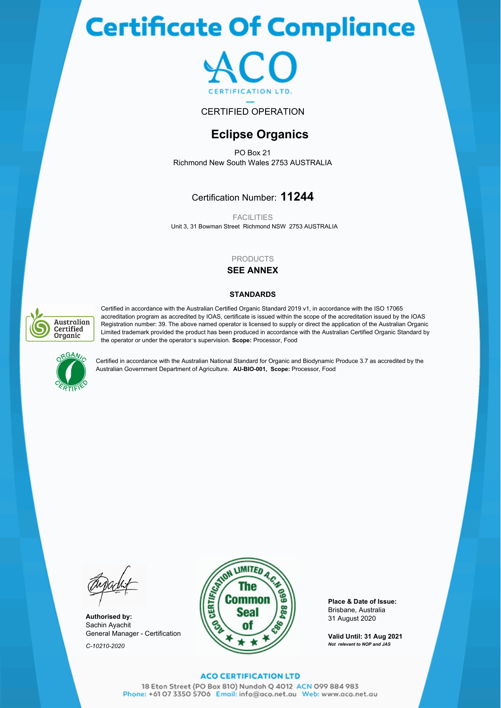# **Certificate Of Compliance**



#### CERTIFIED OPERATION

## **Eclipse Organics**

PO Box 21 Richmond New South Wales 2753 AUSTRALIA

### Certification Number: **11244**

Unit 3, 31 Bowman Street Richmond NSW 2753 AUSTRALIA **FACILITIES** 

#### PRODUCTS

#### **SEE ANNEX**

#### **STANDARDS**



Certified in accordance with the Australian Certified Organic Standard 2019 v1, in accordance with the ISO 17065 accreditation program as accredited by IOAS, certificate is issued within the scope of the accreditation issued by the IOAS Registration number: 39. The above named operator is licensed to supply or direct the application of the Australian Organic Limited trademark provided the product has been produced in accordance with the Australian Certified Organic Standard by the operator or under the operator's supervision. **Scope:** Processor, Food



Certified in accordance with the Australian National Standard for Organic and Biodynamic Produce 3.7 as accredited by the Australian Government Department of Agriculture. **AU-BIO-001, Scope:** Processor, Food

Sachin Ayachit General Manager - Certification *C-10210-2020*



**Place & Date of Issue:** Brisbane, Australia

**Valid Until: 31 Aug 2021** *Not relevant to NOP and JAS*

#### **ACO CERTIFICATION LTD**

18 Eton Street (PO Box 810) Nundah Q 4012 ACN 099 884 983 Phone: +61 07 3350 5706 Email: info@aco.net.au Web: www.aco.net.au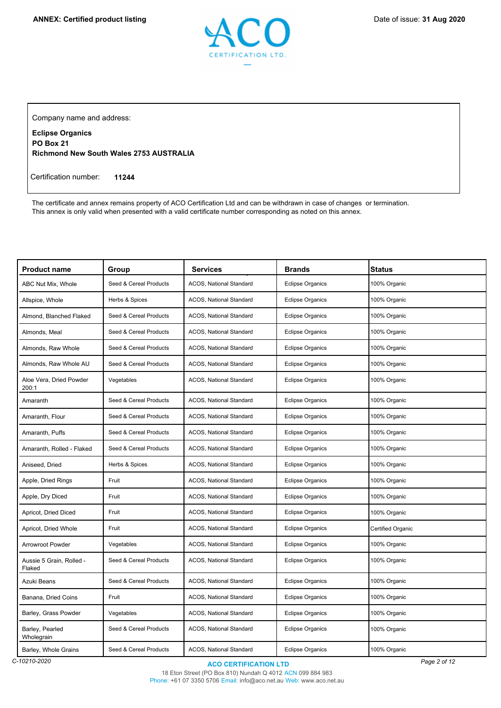

Company name and address:

**Eclipse Organics PO Box 21 Richmond New South Wales 2753 AUSTRALIA**

Certification number: **11244**

The certificate and annex remains property of ACO Certification Ltd and can be withdrawn in case of changes or termination. This annex is only valid when presented with a valid certificate number corresponding as noted on this annex.

| <b>Product name</b>                | Group                  | <b>Services</b>                | <b>Brands</b>           | <b>Status</b>     |
|------------------------------------|------------------------|--------------------------------|-------------------------|-------------------|
| ABC Nut Mix, Whole                 | Seed & Cereal Products | <b>ACOS. National Standard</b> | <b>Eclipse Organics</b> | 100% Organic      |
| Allspice, Whole                    | Herbs & Spices         | ACOS, National Standard        | <b>Eclipse Organics</b> | 100% Organic      |
| Almond. Blanched Flaked            | Seed & Cereal Products | ACOS, National Standard        | <b>Eclipse Organics</b> | 100% Organic      |
| Almonds, Meal                      | Seed & Cereal Products | ACOS, National Standard        | <b>Eclipse Organics</b> | 100% Organic      |
| Almonds, Raw Whole                 | Seed & Cereal Products | ACOS, National Standard        | <b>Eclipse Organics</b> | 100% Organic      |
| Almonds, Raw Whole AU              | Seed & Cereal Products | ACOS, National Standard        | <b>Eclipse Organics</b> | 100% Organic      |
| Aloe Vera, Dried Powder<br>200:1   | Vegetables             | ACOS, National Standard        | <b>Eclipse Organics</b> | 100% Organic      |
| Amaranth                           | Seed & Cereal Products | <b>ACOS. National Standard</b> | <b>Eclipse Organics</b> | 100% Organic      |
| Amaranth, Flour                    | Seed & Cereal Products | ACOS, National Standard        | <b>Eclipse Organics</b> | 100% Organic      |
| Amaranth, Puffs                    | Seed & Cereal Products | ACOS, National Standard        | <b>Eclipse Organics</b> | 100% Organic      |
| Amaranth, Rolled - Flaked          | Seed & Cereal Products | ACOS, National Standard        | <b>Eclipse Organics</b> | 100% Organic      |
| Aniseed, Dried                     | Herbs & Spices         | ACOS, National Standard        | <b>Eclipse Organics</b> | 100% Organic      |
| Apple, Dried Rings                 | Fruit                  | ACOS, National Standard        | <b>Eclipse Organics</b> | 100% Organic      |
| Apple, Dry Diced                   | Fruit                  | ACOS, National Standard        | <b>Eclipse Organics</b> | 100% Organic      |
| Apricot, Dried Diced               | Fruit                  | ACOS, National Standard        | <b>Eclipse Organics</b> | 100% Organic      |
| Apricot, Dried Whole               | Fruit                  | ACOS, National Standard        | <b>Eclipse Organics</b> | Certified Organic |
| <b>Arrowroot Powder</b>            | Vegetables             | ACOS, National Standard        | <b>Eclipse Organics</b> | 100% Organic      |
| Aussie 5 Grain, Rolled -<br>Flaked | Seed & Cereal Products | ACOS, National Standard        | <b>Eclipse Organics</b> | 100% Organic      |
| Azuki Beans                        | Seed & Cereal Products | ACOS, National Standard        | <b>Eclipse Organics</b> | 100% Organic      |
| Banana, Dried Coins                | Fruit                  | ACOS, National Standard        | <b>Eclipse Organics</b> | 100% Organic      |
| Barley, Grass Powder               | Vegetables             | ACOS, National Standard        | <b>Eclipse Organics</b> | 100% Organic      |
| Barley, Pearled<br>Wholegrain      | Seed & Cereal Products | ACOS, National Standard        | <b>Eclipse Organics</b> | 100% Organic      |
| Barley, Whole Grains               | Seed & Cereal Products | ACOS, National Standard        | <b>Eclipse Organics</b> | 100% Organic      |

18 Eton Street (PO Box 810) Nundah Q 4012 ACN 099 884 983 Phone: +61 07 3350 5706 Email: info@aco.net.au Web: www.aco.net.au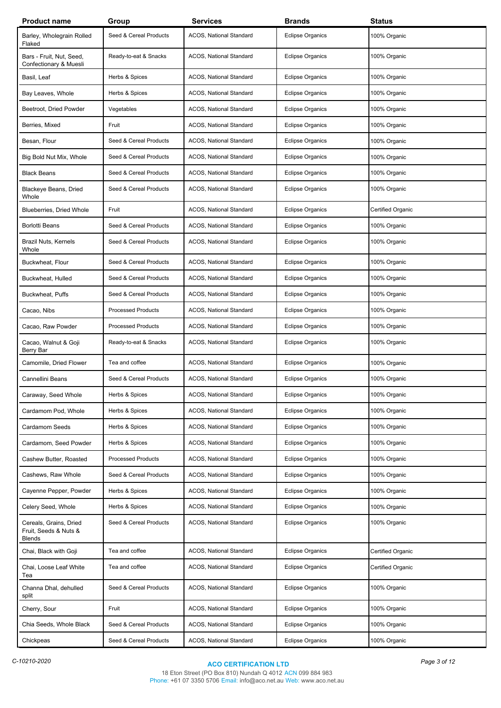| <b>Product name</b>                                              | Group                     | Services                | <b>Brands</b>           | <b>Status</b>            |
|------------------------------------------------------------------|---------------------------|-------------------------|-------------------------|--------------------------|
| Barley, Wholegrain Rolled<br>Flaked                              | Seed & Cereal Products    | ACOS, National Standard | <b>Eclipse Organics</b> | 100% Organic             |
| Bars - Fruit, Nut, Seed,<br>Confectionary & Muesli               | Ready-to-eat & Snacks     | ACOS, National Standard | <b>Eclipse Organics</b> | 100% Organic             |
| Basil, Leaf                                                      | Herbs & Spices            | ACOS, National Standard | <b>Eclipse Organics</b> | 100% Organic             |
| Bay Leaves, Whole                                                | Herbs & Spices            | ACOS, National Standard | <b>Eclipse Organics</b> | 100% Organic             |
| Beetroot, Dried Powder                                           | Vegetables                | ACOS, National Standard | <b>Eclipse Organics</b> | 100% Organic             |
| Berries, Mixed                                                   | Fruit                     | ACOS, National Standard | <b>Eclipse Organics</b> | 100% Organic             |
| Besan, Flour                                                     | Seed & Cereal Products    | ACOS, National Standard | <b>Eclipse Organics</b> | 100% Organic             |
| Big Bold Nut Mix, Whole                                          | Seed & Cereal Products    | ACOS, National Standard | <b>Eclipse Organics</b> | 100% Organic             |
| <b>Black Beans</b>                                               | Seed & Cereal Products    | ACOS, National Standard | <b>Eclipse Organics</b> | 100% Organic             |
| Blackeye Beans, Dried<br>Whole                                   | Seed & Cereal Products    | ACOS, National Standard | <b>Eclipse Organics</b> | 100% Organic             |
| Blueberries, Dried Whole                                         | Fruit                     | ACOS, National Standard | <b>Eclipse Organics</b> | <b>Certified Organic</b> |
| <b>Borlotti Beans</b>                                            | Seed & Cereal Products    | ACOS, National Standard | <b>Eclipse Organics</b> | 100% Organic             |
| Brazil Nuts, Kernels<br>Whole                                    | Seed & Cereal Products    | ACOS, National Standard | <b>Eclipse Organics</b> | 100% Organic             |
| Buckwheat, Flour                                                 | Seed & Cereal Products    | ACOS, National Standard | <b>Eclipse Organics</b> | 100% Organic             |
| Buckwheat, Hulled                                                | Seed & Cereal Products    | ACOS, National Standard | <b>Eclipse Organics</b> | 100% Organic             |
| Buckwheat, Puffs                                                 | Seed & Cereal Products    | ACOS, National Standard | <b>Eclipse Organics</b> | 100% Organic             |
| Cacao, Nibs                                                      | <b>Processed Products</b> | ACOS, National Standard | <b>Eclipse Organics</b> | 100% Organic             |
| Cacao, Raw Powder                                                | <b>Processed Products</b> | ACOS, National Standard | <b>Eclipse Organics</b> | 100% Organic             |
| Cacao, Walnut & Goji<br>Berry Bar                                | Ready-to-eat & Snacks     | ACOS, National Standard | <b>Eclipse Organics</b> | 100% Organic             |
| Camomile, Dried Flower                                           | Tea and coffee            | ACOS, National Standard | <b>Eclipse Organics</b> | 100% Organic             |
| <b>Cannellini Beans</b>                                          | Seed & Cereal Products    | ACOS, National Standard | <b>Eclipse Organics</b> | 100% Organic             |
| Caraway, Seed Whole                                              | Herbs & Spices            | ACOS, National Standard | Eclipse Organics        | 100% Organic             |
| Cardamom Pod, Whole                                              | Herbs & Spices            | ACOS, National Standard | <b>Eclipse Organics</b> | 100% Organic             |
| Cardamom Seeds                                                   | Herbs & Spices            | ACOS, National Standard | <b>Eclipse Organics</b> | 100% Organic             |
| Cardamom, Seed Powder                                            | Herbs & Spices            | ACOS, National Standard | <b>Eclipse Organics</b> | 100% Organic             |
| Cashew Butter, Roasted                                           | <b>Processed Products</b> | ACOS, National Standard | <b>Eclipse Organics</b> | 100% Organic             |
| Cashews, Raw Whole                                               | Seed & Cereal Products    | ACOS, National Standard | <b>Eclipse Organics</b> | 100% Organic             |
| Cayenne Pepper, Powder                                           | Herbs & Spices            | ACOS, National Standard | <b>Eclipse Organics</b> | 100% Organic             |
| Celery Seed, Whole                                               | Herbs & Spices            | ACOS, National Standard | <b>Eclipse Organics</b> | 100% Organic             |
| Cereals, Grains, Dried<br>Fruit, Seeds & Nuts &<br><b>Blends</b> | Seed & Cereal Products    | ACOS, National Standard | <b>Eclipse Organics</b> | 100% Organic             |
| Chai, Black with Goji                                            | Tea and coffee            | ACOS, National Standard | <b>Eclipse Organics</b> | Certified Organic        |
| Chai, Loose Leaf White<br>Tea                                    | Tea and coffee            | ACOS, National Standard | <b>Eclipse Organics</b> | Certified Organic        |
| Channa Dhal, dehulled<br>split                                   | Seed & Cereal Products    | ACOS, National Standard | <b>Eclipse Organics</b> | 100% Organic             |
| Cherry, Sour                                                     | Fruit                     | ACOS, National Standard | <b>Eclipse Organics</b> | 100% Organic             |
| Chia Seeds, Whole Black                                          | Seed & Cereal Products    | ACOS, National Standard | <b>Eclipse Organics</b> | 100% Organic             |
| Chickpeas                                                        | Seed & Cereal Products    | ACOS, National Standard | <b>Eclipse Organics</b> | 100% Organic             |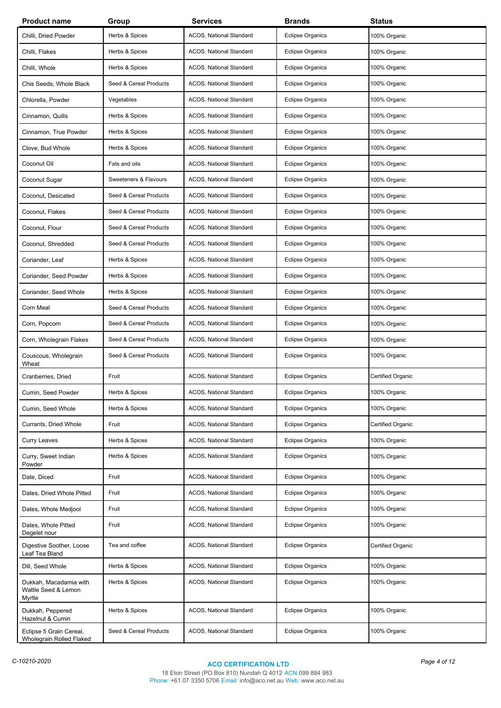| <b>Product name</b>                                     | Group                  | <b>Services</b>                | <b>Brands</b>           | <b>Status</b>     |
|---------------------------------------------------------|------------------------|--------------------------------|-------------------------|-------------------|
| Chilli, Dried Powder                                    | Herbs & Spices         | ACOS, National Standard        | <b>Eclipse Organics</b> | 100% Organic      |
| Chilli, Flakes                                          | Herbs & Spices         | ACOS, National Standard        | <b>Eclipse Organics</b> | 100% Organic      |
| Chilli, Whole                                           | Herbs & Spices         | ACOS, National Standard        | <b>Eclipse Organics</b> | 100% Organic      |
| Chis Seeds, Whole Black                                 | Seed & Cereal Products | ACOS, National Standard        | <b>Eclipse Organics</b> | 100% Organic      |
| Chlorella, Powder                                       | Vegetables             | ACOS, National Standard        | <b>Eclipse Organics</b> | 100% Organic      |
| Cinnamon, Quills                                        | Herbs & Spices         | ACOS, National Standard        | <b>Eclipse Organics</b> | 100% Organic      |
| Cinnamon, True Powder                                   | Herbs & Spices         | ACOS, National Standard        | <b>Eclipse Organics</b> | 100% Organic      |
| Clove, Bud Whole                                        | Herbs & Spices         | ACOS, National Standard        | <b>Eclipse Organics</b> | 100% Organic      |
| Coconut Oil                                             | Fats and oils          | ACOS, National Standard        | <b>Eclipse Organics</b> | 100% Organic      |
| Coconut Sugar                                           | Sweeteners & Flavours  | ACOS, National Standard        | <b>Eclipse Organics</b> | 100% Organic      |
| Coconut, Desicated                                      | Seed & Cereal Products | ACOS, National Standard        | <b>Eclipse Organics</b> | 100% Organic      |
| Coconut, Flakes                                         | Seed & Cereal Products | ACOS, National Standard        | <b>Eclipse Organics</b> | 100% Organic      |
| Coconut, Flour                                          | Seed & Cereal Products | ACOS, National Standard        | <b>Eclipse Organics</b> | 100% Organic      |
| Coconut, Shredded                                       | Seed & Cereal Products | ACOS, National Standard        | <b>Eclipse Organics</b> | 100% Organic      |
| Coriander, Leaf                                         | Herbs & Spices         | ACOS, National Standard        | <b>Eclipse Organics</b> | 100% Organic      |
| Coriander, Seed Powder                                  | Herbs & Spices         | ACOS, National Standard        | <b>Eclipse Organics</b> | 100% Organic      |
| Coriander, Seed Whole                                   | Herbs & Spices         | ACOS, National Standard        | <b>Eclipse Organics</b> | 100% Organic      |
| Corn Meal                                               | Seed & Cereal Products | ACOS, National Standard        | <b>Eclipse Organics</b> | 100% Organic      |
| Corn, Popcorn                                           | Seed & Cereal Products | ACOS, National Standard        | <b>Eclipse Organics</b> | 100% Organic      |
| Corn, Wholegrain Flakes                                 | Seed & Cereal Products | ACOS, National Standard        | <b>Eclipse Organics</b> | 100% Organic      |
| Couscous, Wholegrain<br>Wheat                           | Seed & Cereal Products | ACOS, National Standard        | <b>Eclipse Organics</b> | 100% Organic      |
| Cranberries, Dried                                      | Fruit                  | ACOS, National Standard        | <b>Eclipse Organics</b> | Certified Organic |
| Cumin, Seed Powder                                      | Herbs & Spices         | <b>ACOS, National Standard</b> | <b>Eclipse Organics</b> | 100% Organic      |
| Cumin, Seed Whole                                       | Herbs & Spices         | ACOS, National Standard        | <b>Eclipse Organics</b> | 100% Organic      |
| Currants, Dried Whole                                   | Fruit                  | ACOS, National Standard        | <b>Eclipse Organics</b> | Certified Organic |
| <b>Curry Leaves</b>                                     | Herbs & Spices         | ACOS, National Standard        | <b>Eclipse Organics</b> | 100% Organic      |
| Curry, Sweet Indian<br>Powder                           | Herbs & Spices         | ACOS, National Standard        | <b>Eclipse Organics</b> | 100% Organic      |
| Date, Diced                                             | Fruit                  | ACOS, National Standard        | <b>Eclipse Organics</b> | 100% Organic      |
| Dates, Dried Whole Pitted                               | Fruit                  | ACOS, National Standard        | <b>Eclipse Organics</b> | 100% Organic      |
| Dates, Whole Medjool                                    | Fruit                  | ACOS, National Standard        | <b>Eclipse Organics</b> | 100% Organic      |
| Dates, Whole Pitted<br>Degelet nour                     | Fruit                  | ACOS, National Standard        | <b>Eclipse Organics</b> | 100% Organic      |
| Digestive Soother, Loose<br>Leaf Tea Bland              | Tea and coffee         | ACOS, National Standard        | <b>Eclipse Organics</b> | Certified Organic |
| Dill, Seed Whole                                        | Herbs & Spices         | ACOS, National Standard        | <b>Eclipse Organics</b> | 100% Organic      |
| Dukkah, Macadamia with<br>Wattle Seed & Lemon<br>Myrtle | Herbs & Spices         | ACOS, National Standard        | <b>Eclipse Organics</b> | 100% Organic      |
| Dukkah, Peppered<br>Hazelnut & Cumin                    | Herbs & Spices         | ACOS, National Standard        | <b>Eclipse Organics</b> | 100% Organic      |
| Eclipse 5 Grain Cereal,<br>Wholegrain Rolled Flaked     | Seed & Cereal Products | ACOS, National Standard        | <b>Eclipse Organics</b> | 100% Organic      |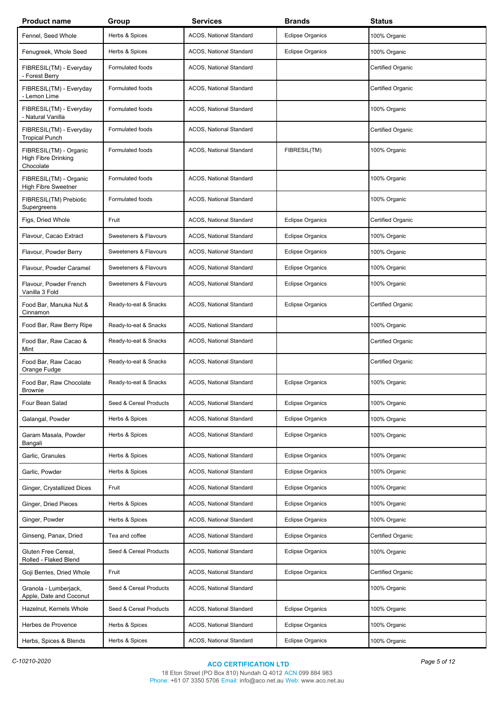| <b>Product name</b>                                        | Group                  | Services                | <b>Brands</b>           | <b>Status</b>     |
|------------------------------------------------------------|------------------------|-------------------------|-------------------------|-------------------|
| Fennel, Seed Whole                                         | Herbs & Spices         | ACOS, National Standard | <b>Eclipse Organics</b> | 100% Organic      |
| Fenugreek, Whole Seed                                      | Herbs & Spices         | ACOS, National Standard | <b>Eclipse Organics</b> | 100% Organic      |
| FIBRESIL(TM) - Everyday<br>- Forest Berry                  | Formulated foods       | ACOS, National Standard |                         | Certified Organic |
| FIBRESIL(TM) - Everyday<br>- Lemon Lime                    | Formulated foods       | ACOS, National Standard |                         | Certified Organic |
| FIBRESIL(TM) - Everyday<br>- Natural Vanilla               | Formulated foods       | ACOS, National Standard |                         | 100% Organic      |
| FIBRESIL(TM) - Everyday<br><b>Tropical Punch</b>           | Formulated foods       | ACOS, National Standard |                         | Certified Organic |
| FIBRESIL(TM) - Organic<br>High Fibre Drinking<br>Chocolate | Formulated foods       | ACOS, National Standard | FIBRESIL(TM)            | 100% Organic      |
| FIBRESIL(TM) - Organic<br><b>High Fibre Sweetner</b>       | Formulated foods       | ACOS, National Standard |                         | 100% Organic      |
| FIBRESIL(TM) Prebiotic<br>Supergreens                      | Formulated foods       | ACOS, National Standard |                         | 100% Organic      |
| Figs, Dried Whole                                          | Fruit                  | ACOS, National Standard | <b>Eclipse Organics</b> | Certified Organic |
| Flavour, Cacao Extract                                     | Sweeteners & Flavours  | ACOS, National Standard | <b>Eclipse Organics</b> | 100% Organic      |
| Flavour, Powder Berry                                      | Sweeteners & Flavours  | ACOS, National Standard | <b>Eclipse Organics</b> | 100% Organic      |
| Flavour, Powder Caramel                                    | Sweeteners & Flavours  | ACOS, National Standard | <b>Eclipse Organics</b> | 100% Organic      |
| Flavour, Powder French<br>Vanilla 3 Fold                   | Sweeteners & Flavours  | ACOS, National Standard | <b>Eclipse Organics</b> | 100% Organic      |
| Food Bar, Manuka Nut &<br>Cinnamon                         | Ready-to-eat & Snacks  | ACOS, National Standard | <b>Eclipse Organics</b> | Certified Organic |
| Food Bar, Raw Berry Ripe                                   | Ready-to-eat & Snacks  | ACOS, National Standard |                         | 100% Organic      |
| Food Bar, Raw Cacao &<br>Mint                              | Ready-to-eat & Snacks  | ACOS, National Standard |                         | Certified Organic |
| Food Bar, Raw Cacao<br>Orange Fudge                        | Ready-to-eat & Snacks  | ACOS, National Standard |                         | Certified Organic |
| Food Bar, Raw Chocolate<br><b>Brownie</b>                  | Ready-to-eat & Snacks  | ACOS, National Standard | <b>Eclipse Organics</b> | 100% Organic      |
| Four Bean Salad                                            | Seed & Cereal Products | ACOS, National Standard | <b>Eclipse Organics</b> | 100% Organic      |
| Galangal, Powder                                           | Herbs & Spices         | ACOS, National Standard | <b>Eclipse Organics</b> | 100% Organic      |
| Garam Masala, Powder<br>Bangali                            | Herbs & Spices         | ACOS, National Standard | <b>Eclipse Organics</b> | 100% Organic      |
| Garlic, Granules                                           | Herbs & Spices         | ACOS, National Standard | <b>Eclipse Organics</b> | 100% Organic      |
| Garlic, Powder                                             | Herbs & Spices         | ACOS, National Standard | <b>Eclipse Organics</b> | 100% Organic      |
| Ginger, Crystallized Dices                                 | Fruit                  | ACOS, National Standard | <b>Eclipse Organics</b> | 100% Organic      |
| Ginger, Dried Pieces                                       | Herbs & Spices         | ACOS, National Standard | <b>Eclipse Organics</b> | 100% Organic      |
| Ginger, Powder                                             | Herbs & Spices         | ACOS, National Standard | <b>Eclipse Organics</b> | 100% Organic      |
| Ginseng, Panax, Dried                                      | Tea and coffee         | ACOS, National Standard | <b>Eclipse Organics</b> | Certified Organic |
| Gluten Free Cereal,<br>Rolled - Flaked Blend               | Seed & Cereal Products | ACOS, National Standard | <b>Eclipse Organics</b> | 100% Organic      |
| Goji Berries, Dried Whole                                  | Fruit                  | ACOS, National Standard | <b>Eclipse Organics</b> | Certified Organic |
| Granola - Lumberjack,<br>Apple, Date and Coconut           | Seed & Cereal Products | ACOS, National Standard |                         | 100% Organic      |
| Hazelnut, Kernels Whole                                    | Seed & Cereal Products | ACOS, National Standard | <b>Eclipse Organics</b> | 100% Organic      |
| Herbes de Provence                                         | Herbs & Spices         | ACOS, National Standard | <b>Eclipse Organics</b> | 100% Organic      |
| Herbs, Spices & Blends                                     | Herbs & Spices         | ACOS, National Standard | <b>Eclipse Organics</b> | 100% Organic      |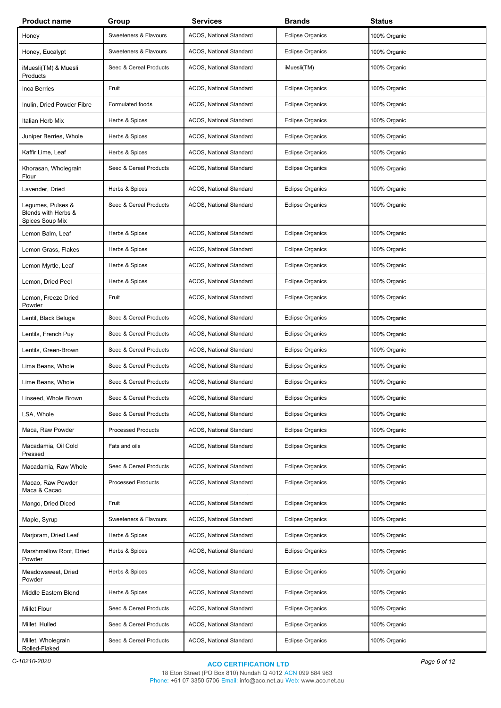| <b>Product name</b>                                         | Group                     | <b>Services</b>         | <b>Brands</b>           | <b>Status</b> |
|-------------------------------------------------------------|---------------------------|-------------------------|-------------------------|---------------|
| Honey                                                       | Sweeteners & Flavours     | ACOS, National Standard | <b>Eclipse Organics</b> | 100% Organic  |
| Honey, Eucalypt                                             | Sweeteners & Flavours     | ACOS, National Standard | <b>Eclipse Organics</b> | 100% Organic  |
| iMuesli(TM) & Muesli<br>Products                            | Seed & Cereal Products    | ACOS, National Standard | iMuesli(TM)             | 100% Organic  |
| Inca Berries                                                | Fruit                     | ACOS, National Standard | <b>Eclipse Organics</b> | 100% Organic  |
| Inulin, Dried Powder Fibre                                  | Formulated foods          | ACOS, National Standard | <b>Eclipse Organics</b> | 100% Organic  |
| Italian Herb Mix                                            | Herbs & Spices            | ACOS, National Standard | <b>Eclipse Organics</b> | 100% Organic  |
| Juniper Berries, Whole                                      | Herbs & Spices            | ACOS, National Standard | <b>Eclipse Organics</b> | 100% Organic  |
| Kaffir Lime, Leaf                                           | Herbs & Spices            | ACOS, National Standard | <b>Eclipse Organics</b> | 100% Organic  |
| Khorasan, Wholegrain<br>Flour                               | Seed & Cereal Products    | ACOS, National Standard | <b>Eclipse Organics</b> | 100% Organic  |
| Lavender, Dried                                             | Herbs & Spices            | ACOS, National Standard | <b>Eclipse Organics</b> | 100% Organic  |
| Legumes, Pulses &<br>Blends with Herbs &<br>Spices Soup Mix | Seed & Cereal Products    | ACOS, National Standard | <b>Eclipse Organics</b> | 100% Organic  |
| Lemon Balm, Leaf                                            | Herbs & Spices            | ACOS, National Standard | <b>Eclipse Organics</b> | 100% Organic  |
| Lemon Grass, Flakes                                         | Herbs & Spices            | ACOS, National Standard | <b>Eclipse Organics</b> | 100% Organic  |
| Lemon Myrtle, Leaf                                          | Herbs & Spices            | ACOS, National Standard | <b>Eclipse Organics</b> | 100% Organic  |
| Lemon, Dried Peel                                           | Herbs & Spices            | ACOS, National Standard | <b>Eclipse Organics</b> | 100% Organic  |
| Lemon, Freeze Dried<br>Powder                               | Fruit                     | ACOS, National Standard | <b>Eclipse Organics</b> | 100% Organic  |
| Lentil, Black Beluga                                        | Seed & Cereal Products    | ACOS, National Standard | <b>Eclipse Organics</b> | 100% Organic  |
| Lentils, French Puy                                         | Seed & Cereal Products    | ACOS, National Standard | Eclipse Organics        | 100% Organic  |
| Lentils, Green-Brown                                        | Seed & Cereal Products    | ACOS, National Standard | <b>Eclipse Organics</b> | 100% Organic  |
| Lima Beans, Whole                                           | Seed & Cereal Products    | ACOS, National Standard | <b>Eclipse Organics</b> | 100% Organic  |
| Lime Beans, Whole                                           | Seed & Cereal Products    | ACOS, National Standard | <b>Eclipse Organics</b> | 100% Organic  |
| Linseed, Whole Brown                                        | Seed & Cereal Products    | ACOS, National Standard | Eclipse Organics        | 100% Organic  |
| LSA, Whole                                                  | Seed & Cereal Products    | ACOS, National Standard | <b>Eclipse Organics</b> | 100% Organic  |
| Maca, Raw Powder                                            | <b>Processed Products</b> | ACOS, National Standard | <b>Eclipse Organics</b> | 100% Organic  |
| Macadamia, Oil Cold<br>Pressed                              | Fats and oils             | ACOS, National Standard | <b>Eclipse Organics</b> | 100% Organic  |
| Macadamia, Raw Whole                                        | Seed & Cereal Products    | ACOS, National Standard | <b>Eclipse Organics</b> | 100% Organic  |
| Macao, Raw Powder<br>Maca & Cacao                           | <b>Processed Products</b> | ACOS, National Standard | <b>Eclipse Organics</b> | 100% Organic  |
| Mango, Dried Diced                                          | Fruit                     | ACOS, National Standard | <b>Eclipse Organics</b> | 100% Organic  |
| Maple, Syrup                                                | Sweeteners & Flavours     | ACOS, National Standard | <b>Eclipse Organics</b> | 100% Organic  |
| Marjoram, Dried Leaf                                        | Herbs & Spices            | ACOS, National Standard | <b>Eclipse Organics</b> | 100% Organic  |
| Marshmallow Root, Dried<br>Powder                           | Herbs & Spices            | ACOS, National Standard | <b>Eclipse Organics</b> | 100% Organic  |
| Meadowsweet, Dried<br>Powder                                | Herbs & Spices            | ACOS, National Standard | <b>Eclipse Organics</b> | 100% Organic  |
| Middle Eastern Blend                                        | Herbs & Spices            | ACOS, National Standard | <b>Eclipse Organics</b> | 100% Organic  |
| <b>Millet Flour</b>                                         | Seed & Cereal Products    | ACOS, National Standard | <b>Eclipse Organics</b> | 100% Organic  |
| Millet, Hulled                                              | Seed & Cereal Products    | ACOS, National Standard | <b>Eclipse Organics</b> | 100% Organic  |
| Millet, Wholegrain<br>Rolled-Flaked                         | Seed & Cereal Products    | ACOS, National Standard | <b>Eclipse Organics</b> | 100% Organic  |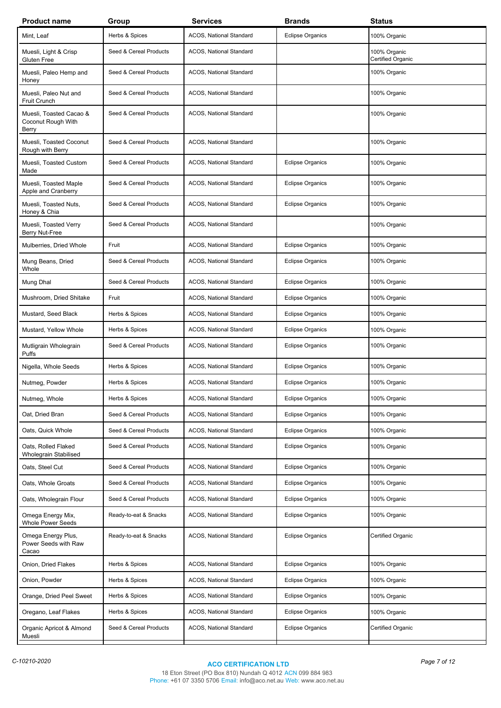| <b>Product name</b>                                    | Group                  | Services                | <b>Brands</b>           | <b>Status</b>                     |
|--------------------------------------------------------|------------------------|-------------------------|-------------------------|-----------------------------------|
| Mint, Leaf                                             | Herbs & Spices         | ACOS, National Standard | <b>Eclipse Organics</b> | 100% Organic                      |
| Muesli, Light & Crisp<br>Gluten Free                   | Seed & Cereal Products | ACOS, National Standard |                         | 100% Organic<br>Certified Organic |
| Muesli, Paleo Hemp and<br>Honey                        | Seed & Cereal Products | ACOS, National Standard |                         | 100% Organic                      |
| Muesli, Paleo Nut and<br>Fruit Crunch                  | Seed & Cereal Products | ACOS, National Standard |                         | 100% Organic                      |
| Muesli, Toasted Cacao &<br>Coconut Rough With<br>Berry | Seed & Cereal Products | ACOS, National Standard |                         | 100% Organic                      |
| Muesli, Toasted Coconut<br>Rough with Berry            | Seed & Cereal Products | ACOS, National Standard |                         | 100% Organic                      |
| Muesli, Toasted Custom<br>Made                         | Seed & Cereal Products | ACOS, National Standard | <b>Eclipse Organics</b> | 100% Organic                      |
| Muesli, Toasted Maple<br>Apple and Cranberry           | Seed & Cereal Products | ACOS, National Standard | <b>Eclipse Organics</b> | 100% Organic                      |
| Muesli, Toasted Nuts,<br>Honey & Chia                  | Seed & Cereal Products | ACOS, National Standard | <b>Eclipse Organics</b> | 100% Organic                      |
| Muesli, Toasted Verry<br>Berry Nut-Free                | Seed & Cereal Products | ACOS, National Standard |                         | 100% Organic                      |
| Mulberries, Dried Whole                                | Fruit                  | ACOS, National Standard | <b>Eclipse Organics</b> | 100% Organic                      |
| Mung Beans, Dried<br>Whole                             | Seed & Cereal Products | ACOS, National Standard | <b>Eclipse Organics</b> | 100% Organic                      |
| Mung Dhal                                              | Seed & Cereal Products | ACOS, National Standard | <b>Eclipse Organics</b> | 100% Organic                      |
| Mushroom, Dried Shitake                                | Fruit                  | ACOS, National Standard | <b>Eclipse Organics</b> | 100% Organic                      |
| Mustard, Seed Black                                    | Herbs & Spices         | ACOS, National Standard | <b>Eclipse Organics</b> | 100% Organic                      |
| Mustard, Yellow Whole                                  | Herbs & Spices         | ACOS, National Standard | <b>Eclipse Organics</b> | 100% Organic                      |
| Mutligrain Wholegrain<br>Puffs                         | Seed & Cereal Products | ACOS, National Standard | <b>Eclipse Organics</b> | 100% Organic                      |
| Nigella, Whole Seeds                                   | Herbs & Spices         | ACOS, National Standard | <b>Eclipse Organics</b> | 100% Organic                      |
| Nutmeg, Powder                                         | Herbs & Spices         | ACOS, National Standard | <b>Eclipse Organics</b> | 100% Organic                      |
| Nutmeg, Whole                                          | Herbs & Spices         | ACOS, National Standard | <b>Eclipse Organics</b> | 100% Organic                      |
| Oat, Dried Bran                                        | Seed & Cereal Products | ACOS, National Standard | <b>Eclipse Organics</b> | 100% Organic                      |
| Oats, Quick Whole                                      | Seed & Cereal Products | ACOS, National Standard | <b>Eclipse Organics</b> | 100% Organic                      |
| Oats, Rolled Flaked<br><b>Wholegrain Stabilised</b>    | Seed & Cereal Products | ACOS, National Standard | <b>Eclipse Organics</b> | 100% Organic                      |
| Oats, Steel Cut                                        | Seed & Cereal Products | ACOS, National Standard | <b>Eclipse Organics</b> | 100% Organic                      |
| Oats, Whole Groats                                     | Seed & Cereal Products | ACOS, National Standard | <b>Eclipse Organics</b> | 100% Organic                      |
| Oats, Wholegrain Flour                                 | Seed & Cereal Products | ACOS, National Standard | <b>Eclipse Organics</b> | 100% Organic                      |
| Omega Energy Mix,<br><b>Whole Power Seeds</b>          | Ready-to-eat & Snacks  | ACOS, National Standard | <b>Eclipse Organics</b> | 100% Organic                      |
| Omega Energy Plus,<br>Power Seeds with Raw<br>Cacao    | Ready-to-eat & Snacks  | ACOS, National Standard | <b>Eclipse Organics</b> | Certified Organic                 |
| Onion, Dried Flakes                                    | Herbs & Spices         | ACOS, National Standard | <b>Eclipse Organics</b> | 100% Organic                      |
| Onion, Powder                                          | Herbs & Spices         | ACOS, National Standard | <b>Eclipse Organics</b> | 100% Organic                      |
| Orange, Dried Peel Sweet                               | Herbs & Spices         | ACOS, National Standard | <b>Eclipse Organics</b> | 100% Organic                      |
| Oregano, Leaf Flakes                                   | Herbs & Spices         | ACOS, National Standard | Eclipse Organics        | 100% Organic                      |
| Organic Apricot & Almond<br>Muesli                     | Seed & Cereal Products | ACOS, National Standard | <b>Eclipse Organics</b> | Certified Organic                 |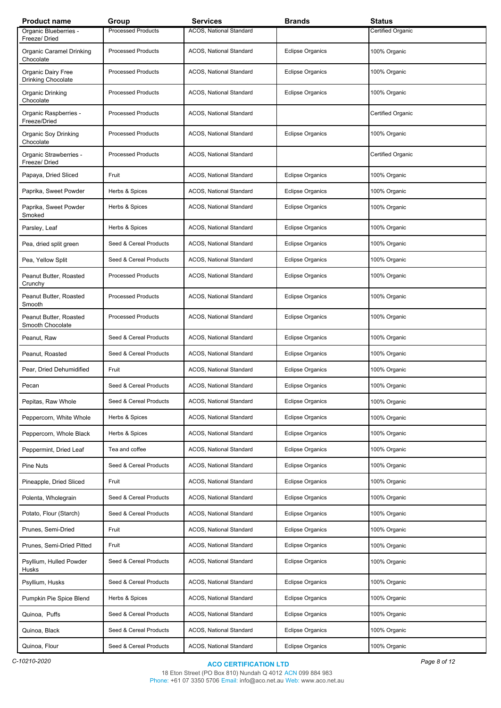| <b>Product name</b>                        | Group                     | <b>Services</b>         | <b>Brands</b>           | <b>Status</b>     |
|--------------------------------------------|---------------------------|-------------------------|-------------------------|-------------------|
| Organic Blueberries -<br>Freeze/Dried      | <b>Processed Products</b> | ACOS, National Standard |                         | Certified Organic |
| Organic Caramel Drinking<br>Chocolate      | <b>Processed Products</b> | ACOS, National Standard | <b>Eclipse Organics</b> | 100% Organic      |
| Organic Dairy Free<br>Drinking Chocolate   | <b>Processed Products</b> | ACOS, National Standard | <b>Eclipse Organics</b> | 100% Organic      |
| Organic Drinking<br>Chocolate              | <b>Processed Products</b> | ACOS, National Standard | <b>Eclipse Organics</b> | 100% Organic      |
| Organic Raspberries -<br>Freeze/Dried      | <b>Processed Products</b> | ACOS, National Standard |                         | Certified Organic |
| Organic Soy Drinking<br>Chocolate          | <b>Processed Products</b> | ACOS, National Standard | <b>Eclipse Organics</b> | 100% Organic      |
| Organic Strawberries -<br>Freeze/Dried     | <b>Processed Products</b> | ACOS, National Standard |                         | Certified Organic |
| Papaya, Dried Sliced                       | Fruit                     | ACOS, National Standard | <b>Eclipse Organics</b> | 100% Organic      |
| Paprika, Sweet Powder                      | Herbs & Spices            | ACOS, National Standard | <b>Eclipse Organics</b> | 100% Organic      |
| Paprika, Sweet Powder<br>Smoked            | Herbs & Spices            | ACOS, National Standard | <b>Eclipse Organics</b> | 100% Organic      |
| Parsley, Leaf                              | Herbs & Spices            | ACOS, National Standard | <b>Eclipse Organics</b> | 100% Organic      |
| Pea, dried split green                     | Seed & Cereal Products    | ACOS, National Standard | <b>Eclipse Organics</b> | 100% Organic      |
| Pea, Yellow Split                          | Seed & Cereal Products    | ACOS, National Standard | <b>Eclipse Organics</b> | 100% Organic      |
| Peanut Butter, Roasted<br>Crunchy          | <b>Processed Products</b> | ACOS, National Standard | <b>Eclipse Organics</b> | 100% Organic      |
| Peanut Butter, Roasted<br>Smooth           | <b>Processed Products</b> | ACOS, National Standard | <b>Eclipse Organics</b> | 100% Organic      |
| Peanut Butter, Roasted<br>Smooth Chocolate | <b>Processed Products</b> | ACOS, National Standard | <b>Eclipse Organics</b> | 100% Organic      |
| Peanut, Raw                                | Seed & Cereal Products    | ACOS, National Standard | <b>Eclipse Organics</b> | 100% Organic      |
| Peanut, Roasted                            | Seed & Cereal Products    | ACOS, National Standard | <b>Eclipse Organics</b> | 100% Organic      |
| Pear, Dried Dehumidified                   | Fruit                     | ACOS, National Standard | <b>Eclipse Organics</b> | 100% Organic      |
| Pecan                                      | Seed & Cereal Products    | ACOS, National Standard | <b>Eclipse Organics</b> | 100% Organic      |
| Pepitas, Raw Whole                         | Seed & Cereal Products    | ACOS, National Standard | <b>Eclipse Organics</b> | 100% Organic      |
| Peppercorn, White Whole                    | Herbs & Spices            | ACOS, National Standard | <b>Eclipse Organics</b> | 100% Organic      |
| Peppercorn, Whole Black                    | Herbs & Spices            | ACOS, National Standard | <b>Eclipse Organics</b> | 100% Organic      |
| Peppermint, Dried Leaf                     | Tea and coffee            | ACOS, National Standard | <b>Eclipse Organics</b> | 100% Organic      |
| <b>Pine Nuts</b>                           | Seed & Cereal Products    | ACOS, National Standard | <b>Eclipse Organics</b> | 100% Organic      |
| Pineapple, Dried Sliced                    | Fruit                     | ACOS, National Standard | <b>Eclipse Organics</b> | 100% Organic      |
| Polenta, Wholegrain                        | Seed & Cereal Products    | ACOS, National Standard | <b>Eclipse Organics</b> | 100% Organic      |
| Potato, Flour (Starch)                     | Seed & Cereal Products    | ACOS, National Standard | <b>Eclipse Organics</b> | 100% Organic      |
| Prunes, Semi-Dried                         | Fruit                     | ACOS, National Standard | <b>Eclipse Organics</b> | 100% Organic      |
| Prunes, Semi-Dried Pitted                  | Fruit                     | ACOS, National Standard | <b>Eclipse Organics</b> | 100% Organic      |
| Psyllium, Hulled Powder<br>Husks           | Seed & Cereal Products    | ACOS, National Standard | <b>Eclipse Organics</b> | 100% Organic      |
| Psyllium, Husks                            | Seed & Cereal Products    | ACOS, National Standard | <b>Eclipse Organics</b> | 100% Organic      |
| Pumpkin Pie Spice Blend                    | Herbs & Spices            | ACOS, National Standard | <b>Eclipse Organics</b> | 100% Organic      |
| Quinoa, Puffs                              | Seed & Cereal Products    | ACOS, National Standard | <b>Eclipse Organics</b> | 100% Organic      |
| Quinoa, Black                              | Seed & Cereal Products    | ACOS, National Standard | <b>Eclipse Organics</b> | 100% Organic      |
| Quinoa, Flour                              | Seed & Cereal Products    | ACOS, National Standard | <b>Eclipse Organics</b> | 100% Organic      |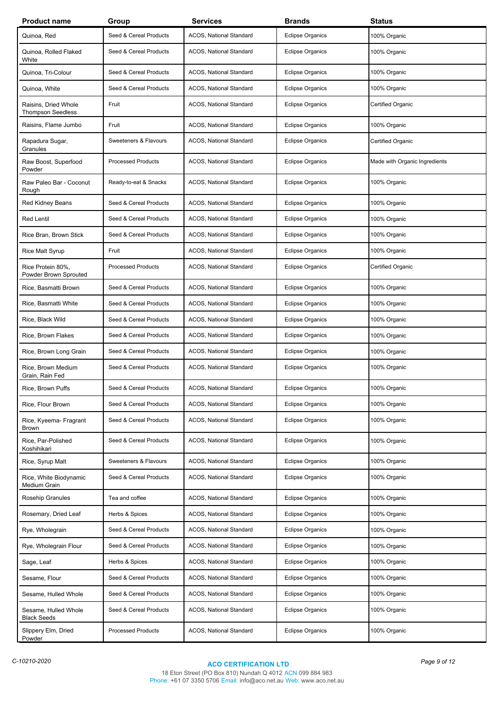| <b>Product name</b>                              | Group                     | <b>Services</b>         | <b>Brands</b>           | <b>Status</b>                 |
|--------------------------------------------------|---------------------------|-------------------------|-------------------------|-------------------------------|
| Quinoa, Red                                      | Seed & Cereal Products    | ACOS, National Standard | <b>Eclipse Organics</b> | 100% Organic                  |
| Quinoa, Rolled Flaked<br>White                   | Seed & Cereal Products    | ACOS, National Standard | <b>Eclipse Organics</b> | 100% Organic                  |
| Quinoa, Tri-Colour                               | Seed & Cereal Products    | ACOS, National Standard | <b>Eclipse Organics</b> | 100% Organic                  |
| Quinoa, White                                    | Seed & Cereal Products    | ACOS, National Standard | <b>Eclipse Organics</b> | 100% Organic                  |
| Raisins, Dried Whole<br><b>Thompson Seedless</b> | Fruit                     | ACOS, National Standard | <b>Eclipse Organics</b> | Certified Organic             |
| Raisins, Flame Jumbo                             | Fruit                     | ACOS, National Standard | <b>Eclipse Organics</b> | 100% Organic                  |
| Rapadura Sugar,<br>Granules                      | Sweeteners & Flavours     | ACOS, National Standard | <b>Eclipse Organics</b> | Certified Organic             |
| Raw Boost, Superfood<br>Powder                   | <b>Processed Products</b> | ACOS, National Standard | <b>Eclipse Organics</b> | Made with Organic Ingredients |
| Raw Paleo Bar - Coconut<br>Rough                 | Ready-to-eat & Snacks     | ACOS, National Standard | <b>Eclipse Organics</b> | 100% Organic                  |
| <b>Red Kidney Beans</b>                          | Seed & Cereal Products    | ACOS, National Standard | <b>Eclipse Organics</b> | 100% Organic                  |
| <b>Red Lentil</b>                                | Seed & Cereal Products    | ACOS, National Standard | <b>Eclipse Organics</b> | 100% Organic                  |
| Rice Bran, Brown Stick                           | Seed & Cereal Products    | ACOS, National Standard | <b>Eclipse Organics</b> | 100% Organic                  |
| Rice Malt Syrup                                  | Fruit                     | ACOS, National Standard | <b>Eclipse Organics</b> | 100% Organic                  |
| Rice Protein 80%,<br>Powder Brown Sprouted       | <b>Processed Products</b> | ACOS, National Standard | <b>Eclipse Organics</b> | Certified Organic             |
| Rice, Basmatti Brown                             | Seed & Cereal Products    | ACOS, National Standard | <b>Eclipse Organics</b> | 100% Organic                  |
| Rice, Basmatti White                             | Seed & Cereal Products    | ACOS, National Standard | <b>Eclipse Organics</b> | 100% Organic                  |
| Rice, Black Wild                                 | Seed & Cereal Products    | ACOS, National Standard | <b>Eclipse Organics</b> | 100% Organic                  |
| Rice, Brown Flakes                               | Seed & Cereal Products    | ACOS, National Standard | <b>Eclipse Organics</b> | 100% Organic                  |
| Rice, Brown Long Grain                           | Seed & Cereal Products    | ACOS, National Standard | <b>Eclipse Organics</b> | 100% Organic                  |
| Rice, Brown Medium<br>Grain, Rain Fed            | Seed & Cereal Products    | ACOS, National Standard | <b>Eclipse Organics</b> | 100% Organic                  |
| Rice, Brown Puffs                                | Seed & Cereal Products    | ACOS, National Standard | <b>Eclipse Organics</b> | 100% Organic                  |
| Rice, Flour Brown                                | Seed & Cereal Products    | ACOS, National Standard | <b>Eclipse Organics</b> | 100% Organic                  |
| Rice, Kyeema- Fragrant<br><b>Brown</b>           | Seed & Cereal Products    | ACOS, National Standard | <b>Eclipse Organics</b> | 100% Organic                  |
| Rice, Par-Polished<br>Koshihikari                | Seed & Cereal Products    | ACOS, National Standard | <b>Eclipse Organics</b> | 100% Organic                  |
| Rice, Syrup Malt                                 | Sweeteners & Flavours     | ACOS, National Standard | <b>Eclipse Organics</b> | 100% Organic                  |
| Rice, White Biodynamic<br>Medium Grain           | Seed & Cereal Products    | ACOS, National Standard | <b>Eclipse Organics</b> | 100% Organic                  |
| Rosehip Granules                                 | Tea and coffee            | ACOS, National Standard | <b>Eclipse Organics</b> | 100% Organic                  |
| Rosemary, Dried Leaf                             | Herbs & Spices            | ACOS, National Standard | <b>Eclipse Organics</b> | 100% Organic                  |
| Rye, Wholegrain                                  | Seed & Cereal Products    | ACOS, National Standard | <b>Eclipse Organics</b> | 100% Organic                  |
| Rye, Wholegrain Flour                            | Seed & Cereal Products    | ACOS, National Standard | <b>Eclipse Organics</b> | 100% Organic                  |
| Sage, Leaf                                       | Herbs & Spices            | ACOS, National Standard | <b>Eclipse Organics</b> | 100% Organic                  |
| Sesame, Flour                                    | Seed & Cereal Products    | ACOS, National Standard | <b>Eclipse Organics</b> | 100% Organic                  |
| Sesame, Hulled Whole                             | Seed & Cereal Products    | ACOS, National Standard | <b>Eclipse Organics</b> | 100% Organic                  |
| Sesame, Hulled Whole<br><b>Black Seeds</b>       | Seed & Cereal Products    | ACOS, National Standard | <b>Eclipse Organics</b> | 100% Organic                  |
| Slippery Elm, Dried<br>Powder                    | <b>Processed Products</b> | ACOS, National Standard | <b>Eclipse Organics</b> | 100% Organic                  |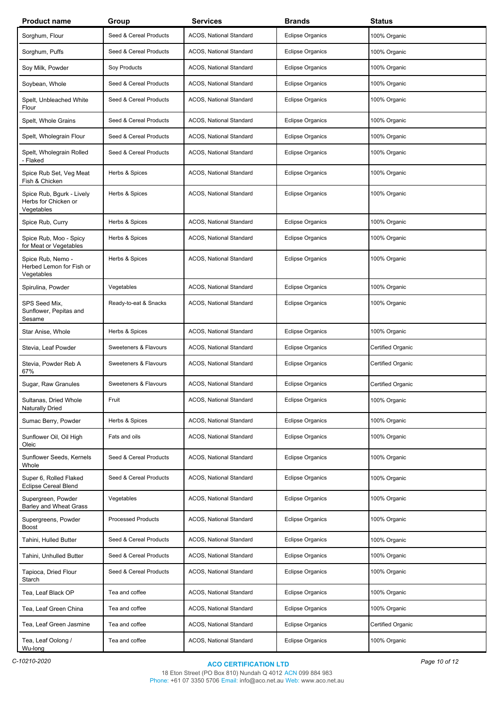| <b>Product name</b>                                             | Group                     | <b>Services</b>         | <b>Brands</b>           | <b>Status</b>     |
|-----------------------------------------------------------------|---------------------------|-------------------------|-------------------------|-------------------|
| Sorghum, Flour                                                  | Seed & Cereal Products    | ACOS, National Standard | <b>Eclipse Organics</b> | 100% Organic      |
| Sorghum, Puffs                                                  | Seed & Cereal Products    | ACOS, National Standard | <b>Eclipse Organics</b> | 100% Organic      |
| Soy Milk, Powder                                                | Soy Products              | ACOS, National Standard | <b>Eclipse Organics</b> | 100% Organic      |
| Soybean, Whole                                                  | Seed & Cereal Products    | ACOS, National Standard | Eclipse Organics        | 100% Organic      |
| Spelt, Unbleached White<br>Flour                                | Seed & Cereal Products    | ACOS, National Standard | <b>Eclipse Organics</b> | 100% Organic      |
| Spelt, Whole Grains                                             | Seed & Cereal Products    | ACOS, National Standard | <b>Eclipse Organics</b> | 100% Organic      |
| Spelt, Wholegrain Flour                                         | Seed & Cereal Products    | ACOS, National Standard | <b>Eclipse Organics</b> | 100% Organic      |
| Spelt, Wholegrain Rolled<br>- Flaked                            | Seed & Cereal Products    | ACOS, National Standard | <b>Eclipse Organics</b> | 100% Organic      |
| Spice Rub Set, Veg Meat<br>Fish & Chicken                       | Herbs & Spices            | ACOS, National Standard | <b>Eclipse Organics</b> | 100% Organic      |
| Spice Rub, Bgurk - Lively<br>Herbs for Chicken or<br>Vegetables | Herbs & Spices            | ACOS, National Standard | <b>Eclipse Organics</b> | 100% Organic      |
| Spice Rub, Curry                                                | Herbs & Spices            | ACOS, National Standard | <b>Eclipse Organics</b> | 100% Organic      |
| Spice Rub, Moo - Spicy<br>for Meat or Vegetables                | Herbs & Spices            | ACOS, National Standard | <b>Eclipse Organics</b> | 100% Organic      |
| Spice Rub, Nemo -<br>Herbed Lemon for Fish or<br>Vegetables     | Herbs & Spices            | ACOS, National Standard | <b>Eclipse Organics</b> | 100% Organic      |
| Spirulina, Powder                                               | Vegetables                | ACOS, National Standard | <b>Eclipse Organics</b> | 100% Organic      |
| SPS Seed Mix,<br>Sunflower, Pepitas and<br>Sesame               | Ready-to-eat & Snacks     | ACOS, National Standard | <b>Eclipse Organics</b> | 100% Organic      |
| Star Anise, Whole                                               | Herbs & Spices            | ACOS, National Standard | <b>Eclipse Organics</b> | 100% Organic      |
| Stevia, Leaf Powder                                             | Sweeteners & Flavours     | ACOS, National Standard | <b>Eclipse Organics</b> | Certified Organic |
| Stevia, Powder Reb A<br>67%                                     | Sweeteners & Flavours     | ACOS, National Standard | <b>Eclipse Organics</b> | Certified Organic |
| Sugar, Raw Granules                                             | Sweeteners & Flavours     | ACOS, National Standard | <b>Eclipse Organics</b> | Certified Organic |
| Sultanas, Dried Whole<br><b>Naturally Dried</b>                 | Fruit                     | ACOS, National Standard | Eclipse Organics        | 100% Organic      |
| Sumac Berry, Powder                                             | Herbs & Spices            | ACOS, National Standard | <b>Eclipse Organics</b> | 100% Organic      |
| Sunflower Oil, Oil High<br>Oleic                                | Fats and oils             | ACOS, National Standard | <b>Eclipse Organics</b> | 100% Organic      |
| Sunflower Seeds, Kernels<br>Whole                               | Seed & Cereal Products    | ACOS, National Standard | <b>Eclipse Organics</b> | 100% Organic      |
| Super 6, Rolled Flaked<br><b>Eclipse Cereal Blend</b>           | Seed & Cereal Products    | ACOS, National Standard | <b>Eclipse Organics</b> | 100% Organic      |
| Supergreen, Powder<br><b>Barley and Wheat Grass</b>             | Vegetables                | ACOS, National Standard | <b>Eclipse Organics</b> | 100% Organic      |
| Supergreens, Powder<br><b>Boost</b>                             | <b>Processed Products</b> | ACOS, National Standard | <b>Eclipse Organics</b> | 100% Organic      |
| Tahini, Hulled Butter                                           | Seed & Cereal Products    | ACOS, National Standard | <b>Eclipse Organics</b> | 100% Organic      |
| Tahini, Unhulled Butter                                         | Seed & Cereal Products    | ACOS, National Standard | <b>Eclipse Organics</b> | 100% Organic      |
| Tapioca, Dried Flour<br>Starch                                  | Seed & Cereal Products    | ACOS, National Standard | <b>Eclipse Organics</b> | 100% Organic      |
| Tea, Leaf Black OP                                              | Tea and coffee            | ACOS, National Standard | <b>Eclipse Organics</b> | 100% Organic      |
| Tea, Leaf Green China                                           | Tea and coffee            | ACOS, National Standard | <b>Eclipse Organics</b> | 100% Organic      |
| Tea, Leaf Green Jasmine                                         | Tea and coffee            | ACOS, National Standard | <b>Eclipse Organics</b> | Certified Organic |
| Tea, Leaf Oolong /<br>Wu-long                                   | Tea and coffee            | ACOS, National Standard | <b>Eclipse Organics</b> | 100% Organic      |